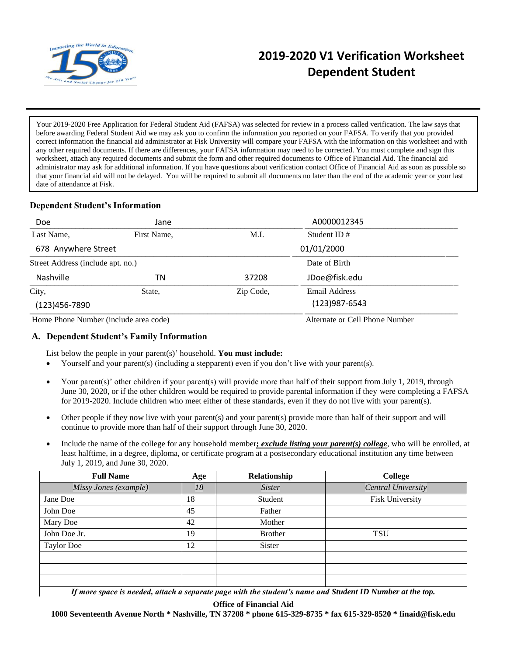

# **2019-2020 V1 Verification Worksheet Dependent Student**

Your 2019-2020 Free Application for Federal Student Aid (FAFSA) was selected for review in a process called verification. The law says that before awarding Federal Student Aid we may ask you to confirm the information you reported on your FAFSA. To verify that you provided correct information the financial aid administrator at Fisk University will compare your FAFSA with the information on this worksheet and with any other required documents. If there are differences, your FAFSA information may need to be corrected. You must complete and sign this worksheet, attach any required documents and submit the form and other required documents to Office of Financial Aid. The financial aid administrator may ask for additional information. If you have questions about verification contact Office of Financial Aid as soon as possible so that your financial aid will not be delayed. You will be required to submit all documents no later than the end of the academic year or your last date of attendance at Fisk.

# **Dependent Student's Information**

| Doe                                   | Jane        |            | A0000012345                        |
|---------------------------------------|-------------|------------|------------------------------------|
| Last Name,                            | First Name, | M.I.       | Student ID $#$                     |
| 678 Anywhere Street                   |             | 01/01/2000 |                                    |
| Street Address (include apt. no.)     |             |            | Date of Birth                      |
| Nashville                             | ΤN          | 37208      | JDoe@fisk.edu                      |
| City,<br>$(123)456 - 7890$            | State,      | Zip Code,  | Email Address<br>$(123)987 - 6543$ |
| Home Phone Number (include area code) |             |            | Alternate or Cell Phone Number     |

## **A. Dependent Student's Family Information**

List below the people in your parent(s)' household. **You must include:**

- Yourself and your parent(s) (including a stepparent) even if you don't live with your parent(s).
- Your parent(s)' other children if your parent(s) will provide more than half of their support from July 1, 2019, through June 30, 2020, or if the other children would be required to provide parental information if they were completing a FAFSA for 2019-2020. Include children who meet either of these standards, even if they do not live with your parent(s).
- Other people if they now live with your parent(s) and your parent(s) provide more than half of their support and will continue to provide more than half of their support through June 30, 2020.
- Include the name of the college for any household member**;** *exclude listing your parent(s) college*, who will be enrolled, at least halftime, in a degree, diploma, or certificate program at a postsecondary educational institution any time between July 1, 2019, and June 30, 2020.

| <b>Full Name</b>                                                                                                               | Age | Relationship   | <b>College</b>     |  |  |
|--------------------------------------------------------------------------------------------------------------------------------|-----|----------------|--------------------|--|--|
| Missy Jones (example)                                                                                                          | 18  | <b>Sister</b>  | Central University |  |  |
| Jane Doe                                                                                                                       | 18  | Student        | Fisk University    |  |  |
| John Doe                                                                                                                       | 45  | Father         |                    |  |  |
| Mary Doe                                                                                                                       | 42  | Mother         |                    |  |  |
| John Doe Jr.                                                                                                                   | 19  | <b>Brother</b> | <b>TSU</b>         |  |  |
| <b>Taylor Doe</b>                                                                                                              | 12  | Sister         |                    |  |  |
|                                                                                                                                |     |                |                    |  |  |
|                                                                                                                                |     |                |                    |  |  |
|                                                                                                                                |     |                |                    |  |  |
| $\mathbf{r}$ , it as a constant of $\mathbf{r}$ , and $\mathbf{r}$ , $\mathbf{r}$ , $\mathbf{r}$ , $\mathbf{r}$ , $\mathbf{r}$ |     |                |                    |  |  |

If more space is needed, attach a separate page with the student's name and Student ID Number at the top.

**Office of Financial Aid**

**1000 Seventeenth Avenue North \* Nashville, TN 37208 \* phone 615-329-8735 \* fax 615-329-8520 \* finaid@fisk.edu**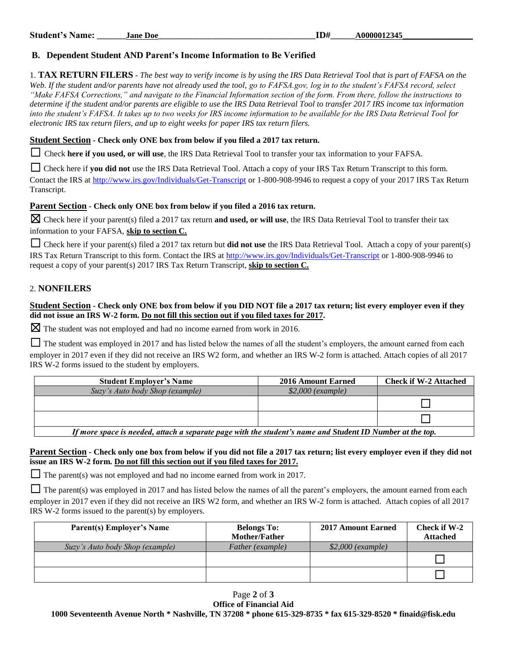# **B. Dependent Student AND Parent's Income Information to Be Verified**

1. **TAX RETURN FILERS** - *The best way to verify income is by using the IRS Data Retrieval Tool that is part of FAFSA on the Web. If the student and/or parents have not already used the tool, go to FAFSA.gov, log in to the student's FAFSA record, select "Make FAFSA Corrections," and navigate to the Financial Information section of the form. From there, follow the instructions to determine if the student and/or parents are eligible to use the IRS Data Retrieval Tool to transfer 2017 IRS income tax information into the student's FAFSA. It takes up to two weeks for IRS income information to be available for the IRS Data Retrieval Tool for electronic IRS tax return filers, and up to eight weeks for paper IRS tax return filers.*

#### **Student Section - Check only ONE box from below if you filed a 2017 tax return.**

☐ Check **here if you used, or will use**, the IRS Data Retrieval Tool to transfer your tax information to your FAFSA.

□ Check here if you did not use the IRS Data Retrieval Tool. Attach a copy of your IRS Tax Return Transcript to this form. Contact the IRS at<http://www.irs.gov/Individuals/Get-Transcript> or 1-800-908-9946 to request a copy of your 2017 IRS Tax Return Transcript.

## **Parent Section - Check only ONE box from below if you filed a 2016 tax return.**

☒ Check here if your parent(s) filed a 2017 tax return **and used, or will use**, the IRS Data Retrieval Tool to transfer their tax information to your FAFSA, **skip to section C.**

☐ Check here if your parent(s) filed a 2017 tax return but **did not use** the IRS Data Retrieval Tool. Attach a copy of your parent(s) IRS Tax Return Transcript to this form. Contact the IRS at<http://www.irs.gov/Individuals/Get-Transcript> or 1-800-908-9946 to request a copy of your parent(s) 2017 IRS Tax Return Transcript, **skip to section C.**

# 2. **NONFILERS**

#### **Student Section - Check only ONE box from below if you DID NOT file a 2017 tax return; list every employer even if they did not issue an IRS W-2 form. Do not fill this section out if you filed taxes for 2017.**

 $\boxtimes$  The student was not employed and had no income earned from work in 2016.

□ The student was employed in 2017 and has listed below the names of all the student's employers, the amount earned from each employer in 2017 even if they did not receive an IRS W2 form, and whether an IRS W-2 form is attached. Attach copies of all 2017 IRS W-2 forms issued to the student by employers.

| <b>Student Employer's Name</b>                                                                            | 2016 Amount Earned | <b>Check if W-2 Attached</b> |
|-----------------------------------------------------------------------------------------------------------|--------------------|------------------------------|
| Suzy's Auto body Shop (example)                                                                           | $$2,000$ (example) |                              |
|                                                                                                           |                    |                              |
|                                                                                                           |                    |                              |
| If mans grass is needed, attach a conquista noos with the studently nome and Ctudent ID Number of the top |                    |                              |

*If more space is needed, attach a separate page with the student's name and Student ID Number at the top.*

## **Parent Section - Check only one box from below if you did not file a 2017 tax return; list every employer even if they did not issue an IRS W-2 form. Do not fill this section out if you filed taxes for 2017.**

 $\Box$  The parent(s) was not employed and had no income earned from work in 2017.

 $\Box$  The parent(s) was employed in 2017 and has listed below the names of all the parent's employers, the amount earned from each employer in 2017 even if they did not receive an IRS W2 form, and whether an IRS W-2 form is attached. Attach copies of all 2017 IRS W-2 forms issued to the parent(s) by employers.

| <b>Parent(s) Employer's Name</b> | <b>Belongs To:</b>   | <b>2017 Amount Earned</b> | Check if W-2    |
|----------------------------------|----------------------|---------------------------|-----------------|
|                                  | <b>Mother/Father</b> |                           | <b>Attached</b> |
| Suzy's Auto body Shop (example)  | Father (example)     | $$2,000$ (example)        |                 |
|                                  |                      |                           |                 |
|                                  |                      |                           |                 |